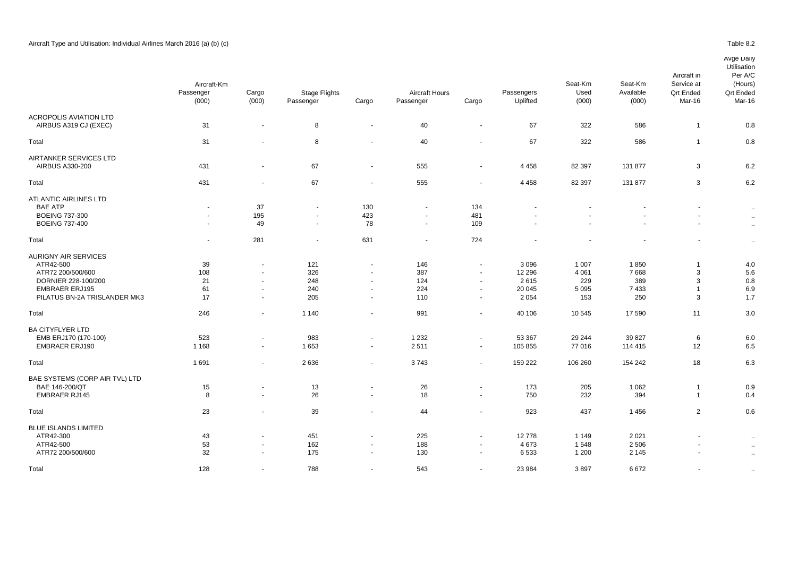|                                                                                                                                               | Aircraft-Km<br>Passenger<br>(000) | Cargo<br>(000)                                                         | <b>Stage Flights</b><br>Passenger | Cargo                                                                  | <b>Aircraft Hours</b><br>Passenger         | Cargo                                                                              | Passengers<br>Uplifted                        | Seat-Km<br>Used<br>(000)                    | Seat-Km<br>Available<br>(000)      | Aircraft in<br>Service at<br><b>Qrt Ended</b><br>Mar-16 | Per A/C<br>(Hours)<br><b>Qrt Ended</b><br>Mar-16 |
|-----------------------------------------------------------------------------------------------------------------------------------------------|-----------------------------------|------------------------------------------------------------------------|-----------------------------------|------------------------------------------------------------------------|--------------------------------------------|------------------------------------------------------------------------------------|-----------------------------------------------|---------------------------------------------|------------------------------------|---------------------------------------------------------|--------------------------------------------------|
| <b>ACROPOLIS AVIATION LTD</b><br>AIRBUS A319 CJ (EXEC)                                                                                        | 31                                | $\blacksquare$                                                         | 8                                 | $\blacksquare$                                                         | 40                                         | $\sim$                                                                             | 67                                            | 322                                         | 586                                | $\mathbf{1}$                                            | 0.8                                              |
| Total                                                                                                                                         | 31                                |                                                                        | 8                                 |                                                                        | 40                                         |                                                                                    | 67                                            | 322                                         | 586                                | $\overline{1}$                                          | 0.8                                              |
| AIRTANKER SERVICES LTD<br>AIRBUS A330-200                                                                                                     | 431                               | $\overline{\phantom{a}}$                                               | 67                                | $\sim$                                                                 | 555                                        | $\sim$                                                                             | 4 4 5 8                                       | 82 397                                      | 131 877                            | 3                                                       | 6.2                                              |
| Total                                                                                                                                         | 431                               | $\blacksquare$                                                         | 67                                | $\blacksquare$                                                         | 555                                        | $\sim$                                                                             | 4 4 5 8                                       | 82 397                                      | 131 877                            | 3                                                       | 6.2                                              |
| <b>ATLANTIC AIRLINES LTD</b><br><b>BAE ATP</b><br><b>BOEING 737-300</b><br><b>BOEING 737-400</b>                                              | $\sim$<br>$\sim$<br>$\sim$        | 37<br>195<br>49                                                        | $\sim$<br>$\sim$                  | 130<br>423<br>78                                                       | $\blacksquare$<br>$\blacksquare$<br>$\sim$ | 134<br>481<br>109                                                                  |                                               |                                             |                                    | ٠<br>÷.                                                 | $\sim$<br>$\sim$<br>$\sim$                       |
| Total                                                                                                                                         | $\blacksquare$                    | 281                                                                    | $\overline{\phantom{a}}$          | 631                                                                    | $\blacksquare$                             | 724                                                                                |                                               |                                             |                                    | $\blacksquare$                                          | $\sim$                                           |
| <b>AURIGNY AIR SERVICES</b><br>ATR42-500<br>ATR72 200/500/600<br>DORNIER 228-100/200<br><b>EMBRAER ERJ195</b><br>PILATUS BN-2A TRISLANDER MK3 | 39<br>108<br>21<br>61<br>17       | $\sim$<br>$\blacksquare$<br>$\blacksquare$<br>$\sim$<br>$\blacksquare$ | 121<br>326<br>248<br>240<br>205   | $\blacksquare$<br>$\sim$<br>$\blacksquare$<br>$\blacksquare$<br>$\sim$ | 146<br>387<br>124<br>224<br>110            | $\sim$<br>$\overline{\phantom{a}}$<br>$\overline{\phantom{a}}$<br>$\sim$<br>$\sim$ | 3096<br>12 2 9 6<br>2615<br>20 045<br>2 0 5 4 | 1 0 0 7<br>4 0 6 1<br>229<br>5 0 9 5<br>153 | 1850<br>7668<br>389<br>7433<br>250 | -1<br>3<br>3<br>$\overline{1}$<br>3                     | 4.0<br>5.6<br>0.8<br>6.9<br>1.7                  |
| Total                                                                                                                                         | 246                               | $\overline{\phantom{a}}$                                               | 1 1 4 0                           | $\blacksquare$                                                         | 991                                        |                                                                                    | 40 10 6                                       | 10 545                                      | 17 590                             | 11                                                      | 3.0                                              |
| <b>BA CITYFLYER LTD</b><br>EMB ERJ170 (170-100)<br><b>EMBRAER ERJ190</b>                                                                      | 523<br>1 1 6 8                    | $\blacksquare$<br>$\sim$                                               | 983<br>1653                       | $\blacksquare$<br>$\sim$                                               | 1 2 3 2<br>2511                            | $\sim$<br>$\sim$                                                                   | 53 367<br>105 855                             | 29 244<br>77 016                            | 39 827<br>114 415                  | 6<br>12                                                 | 6.0<br>6.5                                       |
| Total                                                                                                                                         | 1691                              | $\blacksquare$                                                         | 2636                              | $\blacksquare$                                                         | 3743                                       | $\sim$                                                                             | 159 222                                       | 106 260                                     | 154 242                            | 18                                                      | 6.3                                              |
| BAE SYSTEMS (CORP AIR TVL) LTD<br>BAE 146-200/QT<br><b>EMBRAER RJ145</b>                                                                      | 15<br>8                           | $\overline{\phantom{a}}$<br>$\blacksquare$                             | 13<br>26                          | $\blacksquare$<br>$\blacksquare$                                       | 26<br>18                                   | $\sim$<br>$\sim$                                                                   | 173<br>750                                    | 205<br>232                                  | 1 0 6 2<br>394                     | $\overline{1}$<br>$\overline{1}$                        | 0.9<br>0.4                                       |
| Total                                                                                                                                         | 23                                | $\blacksquare$                                                         | 39                                | $\blacksquare$                                                         | 44                                         | $\sim$                                                                             | 923                                           | 437                                         | 1456                               | $\overline{2}$                                          | 0.6                                              |
| <b>BLUE ISLANDS LIMITED</b><br>ATR42-300<br>ATR42-500                                                                                         | 43<br>53                          | $\blacksquare$<br>$\blacksquare$                                       | 451<br>162                        | $\blacksquare$<br>$\blacksquare$                                       | 225<br>188                                 | $\sim$                                                                             | 12778<br>4673                                 | 1 1 4 9<br>1548                             | 2 0 2 1<br>2 5 0 6                 | $\sim$                                                  | $\sim$<br>$\sim$                                 |

. ATR72 200/500/600 32 - 175 - 130 6 533 1 200 2 145 .. Total 128 - 788 - 543 - 23 984 3 897 6 672 - ..

**Utilisation**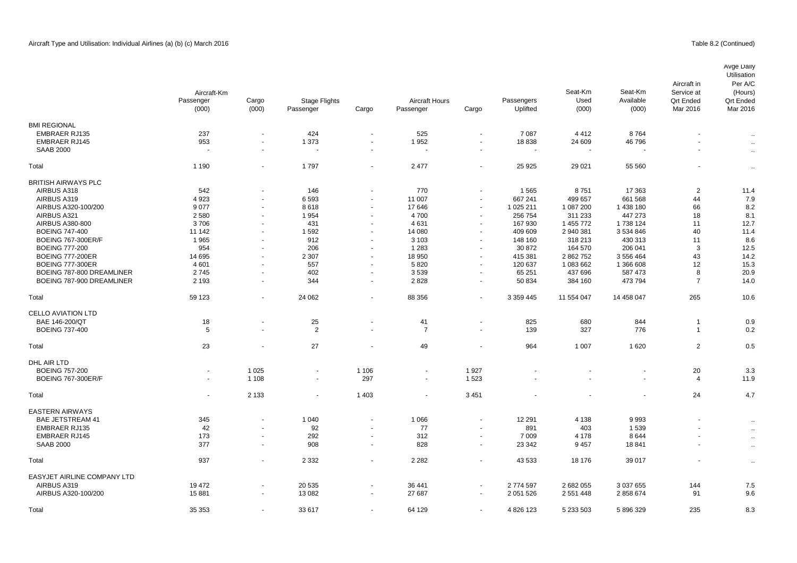|                             | Aircraft-Km    |                          |                          |                          |                       |                          |               | Seat-Km        | Seat-Km    | Aircraft in<br>Service at | Avge Daily<br>Utilisation<br>Per A/C<br>(Hours) |
|-----------------------------|----------------|--------------------------|--------------------------|--------------------------|-----------------------|--------------------------|---------------|----------------|------------|---------------------------|-------------------------------------------------|
|                             | Passenger      | Cargo                    | <b>Stage Flights</b>     |                          | <b>Aircraft Hours</b> |                          | Passengers    | Used           | Available  | <b>Qrt Ended</b>          | <b>Qrt Ended</b>                                |
|                             | (000)          | (000)                    | Passenger                | Cargo                    | Passenger             | Cargo                    | Uplifted      | (000)          | (000)      | Mar 2016                  | Mar 2016                                        |
| <b>BMI REGIONAL</b>         |                |                          |                          |                          |                       |                          |               |                |            |                           |                                                 |
| <b>EMBRAER RJ135</b>        | 237            | ä,                       | 424                      | $\sim$                   | 525                   | $\sim$                   | 7087          | 4 4 1 2        | 8764       | $\blacksquare$            | $\sim$                                          |
| <b>EMBRAER RJ145</b>        | 953            | ä,                       | 1 373                    | $\sim$                   | 1952                  | $\overline{\phantom{a}}$ | 18838         | 24 609         | 46796      | $\sim$                    | $\sim$                                          |
| <b>SAAB 2000</b>            |                | $\blacksquare$           |                          | $\blacksquare$           | $\blacksquare$        | $\overline{\phantom{a}}$ |               | $\blacksquare$ |            |                           | $\sim$                                          |
| Total                       | 1 1 9 0        | $\sim$                   | 1797                     | $\sim$                   | 2 4 7 7               | $\overline{\phantom{a}}$ | 25 9 25       | 29 0 21        | 55 560     |                           | $\sim$                                          |
| <b>BRITISH AIRWAYS PLC</b>  |                |                          |                          |                          |                       |                          |               |                |            |                           |                                                 |
| AIRBUS A318                 | 542            |                          | 146                      |                          | 770                   |                          | 1565          | 8751           | 17 363     | $\overline{2}$            | 11.4                                            |
| AIRBUS A319                 | 4923           | $\overline{a}$           | 6593                     | $\sim$                   | 11 007                | $\blacksquare$           | 667 241       | 499 657        | 661 568    | 44                        | 7.9                                             |
| AIRBUS A320-100/200         | 9077           | $\blacksquare$           | 8618                     | $\blacksquare$           | 17646                 | $\overline{\phantom{a}}$ | 1 025 211     | 1 087 200      | 1 438 180  | 66                        | 8.2                                             |
| AIRBUS A321                 | 2580           | $\blacksquare$           | 1954                     | $\overline{a}$           | 4700                  | $\overline{\phantom{a}}$ | 256 754       | 311 233        | 447 273    | 18                        | 8.1                                             |
| AIRBUS A380-800             | 3706           | $\sim$                   | 431                      | $\sim$                   | 4631                  | $\blacksquare$           | 167 930       | 1 455 772      | 1 738 124  | 11                        | 12.7                                            |
| <b>BOEING 747-400</b>       | 11 142         | $\blacksquare$           | 1592                     |                          | 14 080                | $\overline{\phantom{a}}$ | 409 609       | 2 940 381      | 3 534 846  | 40                        | 11.4                                            |
| <b>BOEING 767-300ER/F</b>   | 1965           | $\blacksquare$           | 912                      | $\sim$                   | 3 1 0 3               | $\blacksquare$           | 148 160       | 318 213        | 430 313    | 11                        | 8.6                                             |
| <b>BOEING 777-200</b>       | 954            | $\ddot{\phantom{1}}$     | 206                      | $\sim$                   | 1 2 8 3               | $\overline{\phantom{a}}$ | 30 872        | 164 570        | 206 041    | 3                         | 12.5                                            |
| <b>BOEING 777-200ER</b>     | 14 695         | $\blacksquare$           | 2 3 0 7                  | $\blacksquare$           | 18 950                | $\overline{\phantom{a}}$ | 415 381       | 2 862 752      | 3 556 464  | 43                        | 14.2                                            |
| <b>BOEING 777-300ER</b>     | 4 601          | $\sim$                   | 557                      | $\sim$                   | 5820                  | $\blacksquare$           | 120 637       | 1 083 662      | 1 366 608  | 12                        | 15.3                                            |
| BOEING 787-800 DREAMLINER   | 2745           | $\blacksquare$           | 402                      | $\overline{\phantom{a}}$ | 3539                  | $\overline{\phantom{a}}$ | 65 251        | 437 696        | 587 473    | 8                         | 20.9                                            |
| BOEING 787-900 DREAMLINER   | 2 1 9 3        | ä,                       | 344                      | $\sim$                   | 2828                  | $\blacksquare$           | 50 834        | 384 160        | 473 794    | $\overline{7}$            | 14.0                                            |
| Total                       | 59 123         | ä,                       | 24 062                   | $\sim$                   | 88 356                |                          | 3 3 5 9 4 4 5 | 11 554 047     | 14 458 047 | 265                       | 10.6                                            |
| <b>CELLO AVIATION LTD</b>   |                |                          |                          |                          |                       |                          |               |                |            |                           |                                                 |
| BAE 146-200/QT              | 18             | $\blacksquare$           | 25                       |                          | 41                    | $\overline{\phantom{a}}$ | 825           | 680            | 844        | $\overline{1}$            | 0.9                                             |
| <b>BOEING 737-400</b>       | 5              | ä,                       | $\overline{2}$           | $\sim$                   | $\overline{7}$        | $\sim$                   | 139           | 327            | 776        | $\overline{1}$            | 0.2                                             |
| Total                       | 23             | $\blacksquare$           | 27                       |                          | 49                    |                          | 964           | 1 0 0 7        | 1620       | 2                         | 0.5                                             |
| DHL AIR LTD                 |                |                          |                          |                          |                       |                          |               |                |            |                           |                                                 |
| <b>BOEING 757-200</b>       | $\sim$         | 1 0 2 5                  | $\blacksquare$           | 1 1 0 6                  | $\blacksquare$        | 1927                     |               |                |            | 20                        | 3.3                                             |
| <b>BOEING 767-300ER/F</b>   | $\overline{a}$ | 1 1 0 8                  | $\overline{\phantom{a}}$ | 297                      | $\blacksquare$        | 1523                     |               |                |            | $\overline{4}$            | 11.9                                            |
| Total                       |                | 2 1 3 3                  | $\blacksquare$           | 1 4 0 3                  | $\ddot{\phantom{0}}$  | 3 4 5 1                  |               |                |            | 24                        | 4.7                                             |
| <b>EASTERN AIRWAYS</b>      |                |                          |                          |                          |                       |                          |               |                |            |                           |                                                 |
| <b>BAE JETSTREAM 41</b>     | 345            | $\overline{\phantom{a}}$ | 1 0 4 0                  |                          | 1 0 6 6               | $\overline{\phantom{a}}$ | 12 291        | 4 1 3 8        | 9993       |                           | $\sim$                                          |
| <b>EMBRAER RJ135</b>        | 42             | $\overline{\phantom{a}}$ | 92                       | $\sim$                   | 77                    | $\overline{\phantom{a}}$ | 891           | 403            | 1539       | $\overline{\phantom{a}}$  | $\sim$                                          |
| <b>EMBRAER RJ145</b>        | 173            | $\ddot{\phantom{0}}$     | 292                      | $\blacksquare$           | 312                   | $\blacksquare$           | 7 0 0 9       | 4 1 7 8        | 8644       | ÷                         | $\ddotsc$                                       |
| <b>SAAB 2000</b>            | 377            | $\ddot{\phantom{1}}$     | 908                      | $\sim$                   | 828                   | $\overline{\phantom{a}}$ | 23 342        | 9 4 5 7        | 18841      | $\overline{a}$            | $\sim$                                          |
| Total                       | 937            | $\overline{\phantom{a}}$ | 2 3 3 2                  | $\sim$                   | 2 2 8 2               |                          | 43 533        | 18 176         | 39 017     |                           | $\sim$                                          |
| EASYJET AIRLINE COMPANY LTD |                |                          |                          |                          |                       |                          |               |                |            |                           |                                                 |
| AIRBUS A319                 | 19 472         |                          | 20 535                   |                          | 36 441                |                          | 2 774 597     | 2 682 055      | 3 037 655  | 144                       | 7.5                                             |
| AIRBUS A320-100/200         | 15881          | $\overline{\phantom{a}}$ | 13 082                   | $\sim$                   | 27 687                | $\blacksquare$           | 2 051 526     | 2 551 448      | 2 858 674  | 91                        | 9.6                                             |

Total 35 353 - 33 617 - 64 129 - 4 826 123 5 233 503 5 896 329 235 8.3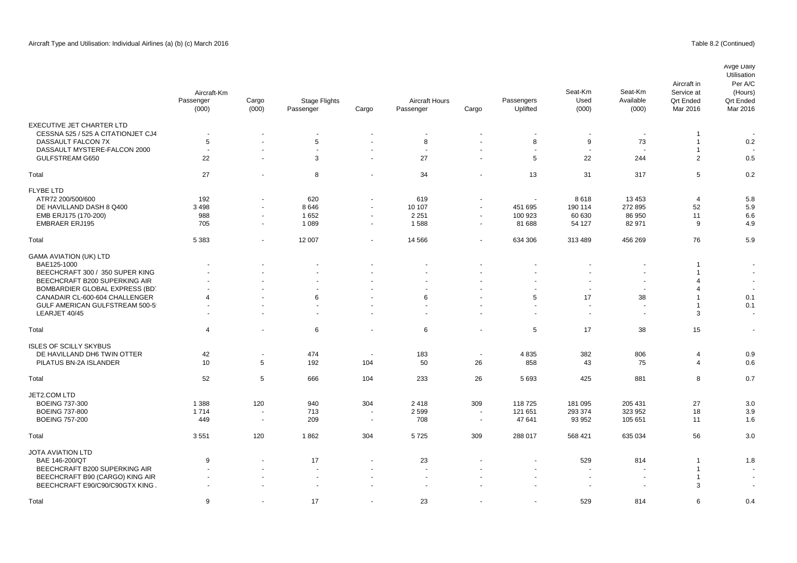|                                                 | Aircraft-Km<br>Passenger<br>(000) | Cargo<br>(000)           | <b>Stage Flights</b><br>Passenger | Cargo                    | Aircraft Hours<br>Passenger | Cargo                    | Passengers<br>Uplifted | Seat-Km<br>Used<br>(000) | Seat-Km<br>Available<br>(000) | Aircraft in<br>Service at<br><b>Qrt Ended</b><br>Mar 2016 | Avge Daily<br>Utilisation<br>Per A/C<br>(Hours)<br><b>Qrt Ended</b><br>Mar 2016 |
|-------------------------------------------------|-----------------------------------|--------------------------|-----------------------------------|--------------------------|-----------------------------|--------------------------|------------------------|--------------------------|-------------------------------|-----------------------------------------------------------|---------------------------------------------------------------------------------|
| <b>EXECUTIVE JET CHARTER LTD</b>                |                                   |                          |                                   |                          |                             |                          |                        |                          |                               |                                                           |                                                                                 |
| CESSNA 525 / 525 A CITATIONJET CJ4              | $\overline{\phantom{a}}$          |                          | $\overline{\phantom{a}}$          |                          | $\overline{\phantom{a}}$    | $\overline{\phantom{a}}$ |                        | $\overline{\phantom{a}}$ | $\overline{\phantom{a}}$      | $\overline{1}$                                            |                                                                                 |
| DASSAULT FALCON 7X                              | 5<br>$\overline{\phantom{a}}$     |                          | 5                                 | $\sim$                   | 8                           | $\sim$                   | 8                      | 9<br>÷.                  | 73                            | $\overline{1}$                                            | 0.2                                                                             |
| DASSAULT MYSTERE-FALCON 2000<br>GULFSTREAM G650 | 22                                | $\blacksquare$           | 3                                 | $\blacksquare$           | $\sim$<br>27                |                          | 5                      | 22                       | 244                           | $\mathbf{1}$<br>2                                         | 0.5                                                                             |
|                                                 |                                   |                          |                                   |                          |                             |                          |                        |                          |                               |                                                           |                                                                                 |
| Total                                           | 27                                | $\blacksquare$           | 8                                 | $\blacksquare$           | 34                          |                          | 13                     | 31                       | 317                           | 5                                                         | 0.2                                                                             |
| <b>FLYBE LTD</b>                                |                                   |                          |                                   |                          |                             |                          |                        |                          |                               |                                                           |                                                                                 |
| ATR72 200/500/600                               | 192                               |                          | 620                               |                          | 619                         |                          |                        | 8618                     | 13 4 53                       | $\overline{4}$                                            | 5.8                                                                             |
| DE HAVILLAND DASH 8 Q400                        | 3 4 9 8                           |                          | 8646                              |                          | 10 107                      | $\blacksquare$           | 451 695                | 190 114                  | 272 895                       | 52                                                        | 5.9                                                                             |
| EMB ERJ175 (170-200)                            | 988                               | $\blacksquare$           | 1652                              | $\sim$                   | 2 2 5 1                     | $\blacksquare$           | 100 923                | 60 630                   | 86 950                        | 11                                                        | 6.6                                                                             |
| <b>EMBRAER ERJ195</b>                           | 705                               | $\blacksquare$           | 1 0 8 9                           | $\sim$                   | 1588                        | $\blacksquare$           | 81 688                 | 54 127                   | 82 971                        | 9                                                         | 4.9                                                                             |
| Total                                           | 5 3 8 3                           | $\sim$                   | 12 007                            | $\sim$                   | 14 5 66                     | $\sim$                   | 634 306                | 313 489                  | 456 269                       | 76                                                        | 5.9                                                                             |
|                                                 |                                   |                          |                                   |                          |                             |                          |                        |                          |                               |                                                           |                                                                                 |
| <b>GAMA AVIATION (UK) LTD</b>                   |                                   |                          |                                   |                          |                             |                          |                        |                          |                               |                                                           |                                                                                 |
| BAE125-1000                                     |                                   |                          |                                   |                          |                             |                          |                        |                          |                               | -1                                                        | $\overline{\phantom{a}}$                                                        |
| BEECHCRAFT 300 / 350 SUPER KING                 |                                   |                          |                                   |                          |                             |                          |                        |                          |                               | $\overline{1}$                                            |                                                                                 |
| BEECHCRAFT B200 SUPERKING AIR                   |                                   |                          |                                   |                          |                             |                          |                        |                          |                               | $\overline{4}$                                            | $\overline{\phantom{a}}$                                                        |
| BOMBARDIER GLOBAL EXPRESS (BD)                  |                                   |                          |                                   |                          |                             |                          |                        |                          |                               | 4                                                         |                                                                                 |
| CANADAIR CL-600-604 CHALLENGER                  | $\overline{4}$                    |                          | 6                                 |                          | 6                           |                          | 5                      | 17                       | 38                            | $\overline{1}$                                            | 0.1                                                                             |
| GULF AMERICAN GULFSTREAM 500-5                  |                                   |                          |                                   |                          | $\overline{a}$              |                          |                        | $\overline{a}$           | $\ddot{\phantom{1}}$          | $\overline{1}$                                            | 0.1                                                                             |
| LEARJET 40/45                                   | $\overline{\phantom{a}}$          |                          |                                   | $\overline{\phantom{a}}$ | $\blacksquare$              | $\overline{\phantom{a}}$ | $\sim$                 | $\blacksquare$           | $\blacksquare$                | 3                                                         | $\sim$                                                                          |
| Total                                           | $\overline{4}$                    |                          | 6                                 | ÷                        | 6                           | $\sim$                   | 5                      | 17                       | 38                            | 15                                                        | $\overline{\phantom{a}}$                                                        |
| <b>ISLES OF SCILLY SKYBUS</b>                   |                                   |                          |                                   |                          |                             |                          |                        |                          |                               |                                                           |                                                                                 |
| DE HAVILLAND DH6 TWIN OTTER                     | 42                                | $\overline{\phantom{a}}$ | 474                               | $\sim$                   | 183                         | $\sim$                   | 4835                   | 382                      | 806                           | $\overline{4}$                                            | 0.9                                                                             |
| PILATUS BN-2A ISLANDER                          | 10                                | 5                        | 192                               | 104                      | 50                          | 26                       | 858                    | 43                       | 75                            | $\overline{4}$                                            | 0.6                                                                             |
|                                                 |                                   | $\sqrt{5}$               |                                   |                          |                             |                          |                        |                          |                               |                                                           |                                                                                 |
| Total                                           | 52                                |                          | 666                               | 104                      | 233                         | 26                       | 5693                   | 425                      | 881                           | 8                                                         | 0.7                                                                             |
| JET2.COM LTD                                    |                                   |                          |                                   |                          |                             |                          |                        |                          |                               |                                                           |                                                                                 |
| <b>BOEING 737-300</b>                           | 1 3 8 8                           | 120                      | 940                               | 304                      | 2418                        | 309                      | 118725                 | 181 095                  | 205 431                       | 27                                                        | 3.0                                                                             |
| <b>BOEING 737-800</b>                           | 1714                              | $\overline{\phantom{a}}$ | 713                               | $\overline{\phantom{a}}$ | 2599                        | $\overline{\phantom{a}}$ | 121 651                | 293 374                  | 323 952                       | 18                                                        | 3.9                                                                             |
| <b>BOEING 757-200</b>                           | 449                               | $\sim$                   | 209                               | $\sim$                   | 708                         | $\sim$                   | 47 641                 | 93 952                   | 105 651                       | 11                                                        | 1.6                                                                             |
| Total                                           | 3551                              | 120                      | 1862                              | 304                      | 5725                        | 309                      | 288 017                | 568 421                  | 635 034                       | 56                                                        | 3.0                                                                             |
| <b>JOTA AVIATION LTD</b>                        |                                   |                          |                                   |                          |                             |                          |                        |                          |                               |                                                           |                                                                                 |
| BAE 146-200/QT                                  | 9                                 |                          | 17                                |                          | 23                          |                          |                        | 529                      | 814                           | $\overline{1}$                                            | 1.8                                                                             |
| BEECHCRAFT B200 SUPERKING AIR                   |                                   |                          |                                   | $\blacksquare$           | $\blacksquare$              |                          |                        | $\blacksquare$           |                               | $\overline{1}$                                            |                                                                                 |
| BEECHCRAFT B90 (CARGO) KING AIR                 |                                   |                          |                                   |                          |                             |                          |                        | $\blacksquare$           |                               | $\overline{1}$                                            |                                                                                 |
| BEECHCRAFT E90/C90/C90GTX KING                  |                                   |                          |                                   |                          |                             |                          |                        | $\overline{a}$           |                               | 3                                                         |                                                                                 |
|                                                 |                                   |                          |                                   |                          |                             |                          |                        |                          |                               |                                                           |                                                                                 |

Total 9 - 17 - 23 - - 529 814 6 0.4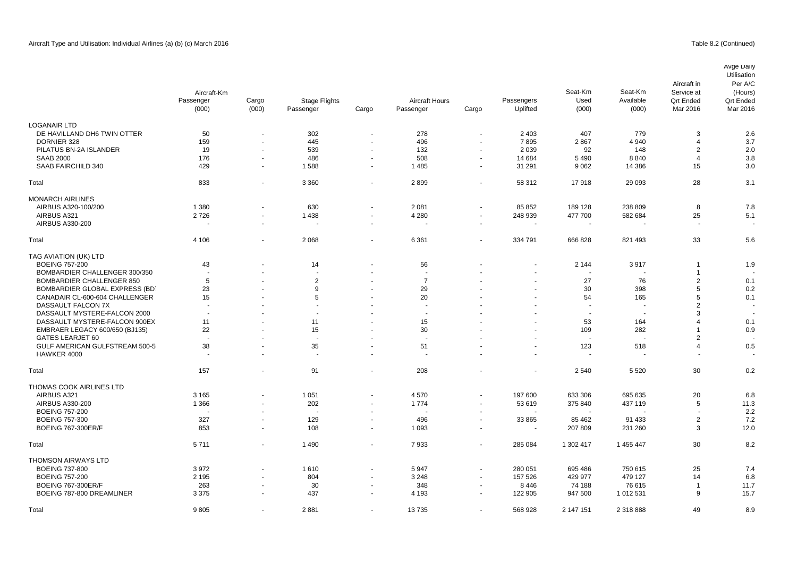## Table 8.2 (Continued)

|                                  | Aircraft-Km<br>Passenger<br>(000) | Cargo<br>(000)           | <b>Stage Flights</b><br>Passenger | Cargo          | <b>Aircraft Hours</b><br>Passenger | Cargo                    | Passengers<br>Uplifted | Seat-Km<br>Used<br>(000) | Seat-Km<br>Available<br>(000) | Aircraft in<br>Service at<br><b>Qrt Ended</b><br>Mar 2016 | Avge Daily<br>Utilisation<br>Per A/C<br>(Hours)<br><b>Qrt Ended</b><br>Mar 2016 |
|----------------------------------|-----------------------------------|--------------------------|-----------------------------------|----------------|------------------------------------|--------------------------|------------------------|--------------------------|-------------------------------|-----------------------------------------------------------|---------------------------------------------------------------------------------|
| <b>LOGANAIR LTD</b>              |                                   |                          |                                   |                |                                    |                          |                        |                          |                               |                                                           |                                                                                 |
| DE HAVILLAND DH6 TWIN OTTER      | 50                                | $\blacksquare$           | 302                               |                | 278                                | $\blacksquare$           | 2 4 0 3                | 407                      | 779                           | 3                                                         | 2.6                                                                             |
| DORNIER 328                      | 159                               | $\blacksquare$           | 445                               |                | 496                                | $\blacksquare$           | 7895                   | 2867                     | 4 9 4 0                       | $\overline{4}$                                            | 3.7                                                                             |
| PILATUS BN-2A ISLANDER           | 19                                | $\overline{\phantom{a}}$ | 539                               |                | 132                                | $\sim$                   | 2 0 3 9                | 92                       | 148                           | 2                                                         | 2.0                                                                             |
| <b>SAAB 2000</b>                 | 176                               | $\blacksquare$           | 486                               | $\sim$         | 508                                | $\blacksquare$           | 14 684                 | 5 4 9 0                  | 8840                          | $\overline{4}$                                            | 3.8                                                                             |
| SAAB FAIRCHILD 340               | 429                               | $\blacksquare$           | 1588                              | $\sim$         | 1485                               | $\overline{\phantom{a}}$ | 31 291                 | 9 0 6 2                  | 14 386                        | 15                                                        | 3.0                                                                             |
| Total                            | 833                               | $\blacksquare$           | 3 3 6 0                           | $\sim$         | 2899                               | $\blacksquare$           | 58 312                 | 17918                    | 29 093                        | 28                                                        | 3.1                                                                             |
| <b>MONARCH AIRLINES</b>          |                                   |                          |                                   |                |                                    |                          |                        |                          |                               |                                                           |                                                                                 |
| AIRBUS A320-100/200              | 1 3 8 0                           | $\blacksquare$           | 630                               |                | 2081                               | ÷,                       | 85 852                 | 189 128                  | 238 809                       | 8                                                         | 7.8                                                                             |
| AIRBUS A321                      | 2726                              | $\blacksquare$           | 1438                              |                | 4 2 8 0                            | $\blacksquare$           | 248 939                | 477 700                  | 582 684                       | 25                                                        | 5.1                                                                             |
| <b>AIRBUS A330-200</b>           |                                   | $\blacksquare$           | $\overline{\phantom{a}}$          |                |                                    | $\blacksquare$           |                        | $\overline{\phantom{a}}$ |                               | $\sim$                                                    |                                                                                 |
| Total                            | 4 10 6                            | ÷,                       | 2 0 6 8                           |                | 6 3 6 1                            | ÷,                       | 334 791                | 666 828                  | 821 493                       | 33                                                        | 5.6                                                                             |
| TAG AVIATION (UK) LTD            |                                   |                          |                                   |                |                                    |                          |                        |                          |                               |                                                           |                                                                                 |
| <b>BOEING 757-200</b>            | 43                                | $\ddot{\phantom{1}}$     | 14                                |                | 56                                 |                          |                        | 2 1 4 4                  | 3917                          | $\overline{1}$                                            | 1.9                                                                             |
| BOMBARDIER CHALLENGER 300/350    |                                   |                          |                                   |                |                                    |                          |                        |                          |                               | $\overline{1}$                                            |                                                                                 |
| <b>BOMBARDIER CHALLENGER 850</b> | 5                                 |                          | $\boldsymbol{2}$                  |                | $\overline{7}$                     |                          |                        | 27                       | 76                            | $\overline{2}$                                            | 0.1                                                                             |
| BOMBARDIER GLOBAL EXPRESS (BD)   | 23                                |                          | 9                                 |                | 29                                 |                          |                        | 30                       | 398                           | 5                                                         | 0.2                                                                             |
| CANADAIR CL-600-604 CHALLENGER   | 15                                | ÷                        | 5                                 |                | 20                                 |                          |                        | 54                       | 165                           | 5                                                         | 0.1                                                                             |
| DASSAULT FALCON 7X               |                                   |                          |                                   |                |                                    |                          |                        |                          |                               | $\overline{2}$                                            |                                                                                 |
| DASSAULT MYSTERE-FALCON 2000     | $\sim$                            | ÷                        | $\overline{\phantom{a}}$          |                | $\sim$                             |                          |                        | $\overline{\phantom{a}}$ | $\blacksquare$                | 3                                                         | $\sim$                                                                          |
| DASSAULT MYSTERE-FALCON 900EX    | 11                                |                          | 11                                |                | 15                                 |                          |                        | 53                       | 164                           | $\overline{4}$                                            | 0.1                                                                             |
| EMBRAER LEGACY 600/650 (BJ135)   | 22                                | $\overline{a}$           | 15                                |                | 30                                 |                          |                        | 109                      | 282                           | $\overline{1}$                                            | 0.9                                                                             |
| <b>GATES LEARJET 60</b>          |                                   |                          | $\overline{\phantom{a}}$          |                |                                    |                          |                        | $\sim$                   |                               | $\overline{2}$                                            |                                                                                 |
| GULF AMERICAN GULFSTREAM 500-5   | 38                                | $\ddot{\phantom{1}}$     | 35                                |                | 51                                 |                          |                        | 123                      | 518                           | $\overline{4}$                                            | 0.5                                                                             |
| HAWKER 4000                      |                                   | $\blacksquare$           | $\sim$                            | $\sim$         | $\blacksquare$                     |                          |                        | $\sim$                   |                               | $\overline{\phantom{a}}$                                  |                                                                                 |
| Total                            | 157                               | L,                       | 91                                |                | 208                                |                          |                        | 2 5 4 0                  | 5 5 20                        | 30                                                        | 0.2                                                                             |
| THOMAS COOK AIRLINES LTD         |                                   |                          |                                   |                |                                    |                          |                        |                          |                               |                                                           |                                                                                 |
| AIRBUS A321                      | 3 1 6 5                           | $\overline{a}$           | 1 0 5 1                           |                | 4570                               | $\blacksquare$           | 197 600                | 633 306                  | 695 635                       | 20                                                        | 6.8                                                                             |
| <b>AIRBUS A330-200</b>           | 1 3 6 6                           | ÷,                       | 202                               |                | 1774                               | $\tilde{\phantom{a}}$    | 53 619                 | 375 840                  | 437 119                       | 5                                                         | 11.3                                                                            |
| <b>BOEING 757-200</b>            |                                   | $\overline{\phantom{a}}$ | $\overline{a}$                    |                |                                    | $\overline{\phantom{a}}$ |                        |                          |                               | $\overline{\phantom{a}}$                                  | 2.2                                                                             |
| <b>BOEING 757-300</b>            | 327                               | $\overline{\phantom{a}}$ | 129                               | $\blacksquare$ | 496                                | $\blacksquare$           | 33 865                 | 85 462                   | 91 433                        | $\overline{2}$                                            | 7.2                                                                             |
| <b>BOEING 767-300ER/F</b>        | 853                               | $\blacksquare$           | 108                               | $\sim$         | 1 0 9 3                            | $\blacksquare$           | $\sim$                 | 207 809                  | 231 260                       | 3                                                         | 12.0                                                                            |
| Total                            | 5711                              | $\blacksquare$           | 1 4 9 0                           | $\sim$         | 7933                               | $\overline{\phantom{a}}$ | 285 084                | 1 302 417                | 1 455 447                     | 30                                                        | 8.2                                                                             |
| <b>THOMSON AIRWAYS LTD</b>       |                                   |                          |                                   |                |                                    |                          |                        |                          |                               |                                                           |                                                                                 |
| <b>BOEING 737-800</b>            | 3972                              | ä,                       | 1610                              |                | 5947                               | $\blacksquare$           | 280 051                | 695 486                  | 750 615                       | 25                                                        | 7.4                                                                             |
| <b>BOEING 757-200</b>            | 2 1 9 5                           |                          | 804                               |                | 3 2 4 8                            | $\overline{\phantom{a}}$ | 157 526                | 429 977                  | 479 127                       | 14                                                        | 6.8                                                                             |
| <b>BOEING 767-300ER/F</b>        | 263                               | $\overline{\phantom{a}}$ | 30                                | $\overline{a}$ | 348                                | $\overline{\phantom{a}}$ | 8446                   | 74 188                   | 76 615                        | $\overline{1}$                                            | 11.7                                                                            |
| BOEING 787-800 DREAMLINER        | 3 3 7 5                           | $\sim$                   | 437                               | $\sim$         | 4 1 9 3                            | $\blacksquare$           | 122 905                | 947 500                  | 1 012 531                     | 9                                                         | 15.7                                                                            |

Total 9 805 - 2 881 - 13 735 - 568 928 2 147 151 2 318 888 49 8.9